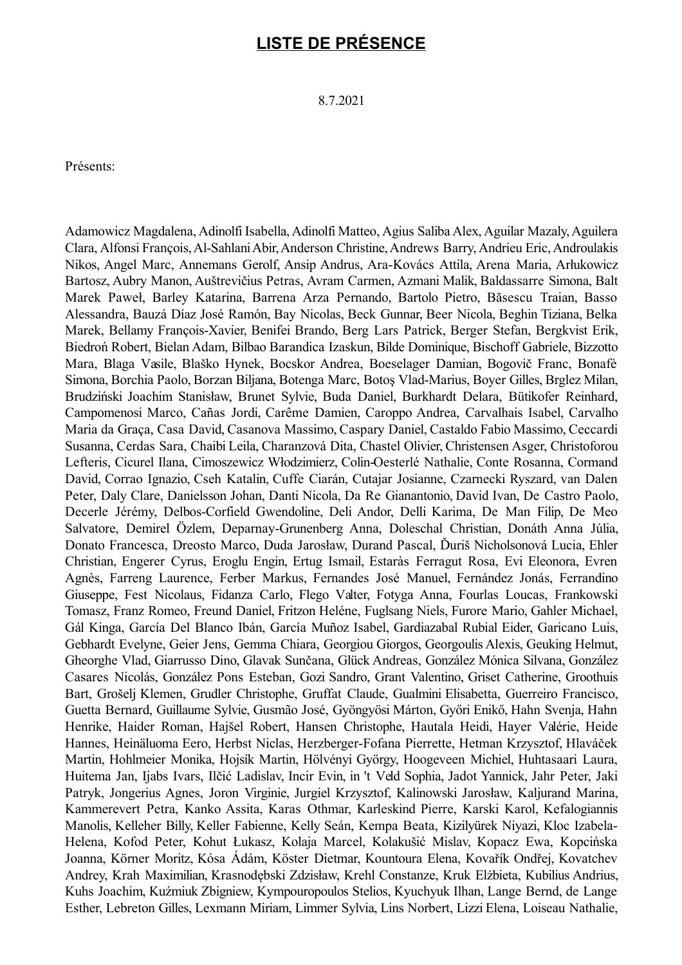## **LISTE DE PRÉSENCE**

8.7.2021

Présents:

Adamowicz Magdalena, Adinolfi Isabella, Adinolfi Matteo, Agius Saliba Alex, Aguilar Mazaly, Aguilera Clara, Alfonsi François,Al-SahlaniAbir,Anderson Christine,Andrews Barry, Andrieu Eric,Androulakis Nikos, Angel Marc, Annemans Gerolf, Ansip Andrus, Ara-Kovács Attila, Arena Maria, Arłukowicz Bartosz, Aubry Manon, Auštrevičius Petras, Avram Carmen, Azmani Malik, Baldassarre Simona, Balt Marek Paweł, Barley Katarina, Barrena Arza Pernando, Bartolo Pietro, Băsescu Traian, Basso Alessandra, Bauzá Díaz José Ramón, Bay Nicolas, Beck Gunnar, Beer Nicola, Beghin Tiziana, Belka Marek, Bellamy François-Xavier, Benifei Brando, Berg Lars Patrick, Berger Stefan, Bergkvist Erik, Biedroń Robert, Bielan Adam, Bilbao Barandica Izaskun, Bilde Dominique, Bischoff Gabriele, Bizzotto Mara, Blaga Vasile, Blaško Hynek, Bocskor Andrea, Boeselager Damian, Bogovič Franc, Bonafè Simona, Borchia Paolo, Borzan Biljana, Botenga Marc, Botoş Vlad-Marius, Boyer Gilles, Brglez Milan, Brudziński Joachim Stanisław, Brunet Sylvie, Buda Daniel, Burkhardt Delara, Bütikofer Reinhard, Campomenosi Marco, Cañas Jordi, Carême Damien, Caroppo Andrea, Carvalhais Isabel, Carvalho Maria da Graça, Casa David, Casanova Massimo, Caspary Daniel, Castaldo Fabio Massimo, Ceccardi Susanna, Cerdas Sara, Chaibi Leila, Charanzová Dita, Chastel Olivier, Christensen Asger, Christoforou Lefteris, Cicurel Ilana, Cimoszewicz Włodzimierz, Colin-Oesterlé Nathalie, Conte Rosanna, Cormand David, Corrao Ignazio, Cseh Katalin, Cuffe Ciarán, Cutajar Josianne, Czarnecki Ryszard, van Dalen Peter, Daly Clare, Danielsson Johan, Danti Nicola, Da Re Gianantonio, David Ivan, De Castro Paolo, Decerle Jérémy, Delbos-Corfield Gwendoline, Deli Andor, Delli Karima, De Man Filip, De Meo Salvatore, Demirel Özlem, Deparnay-Grunenberg Anna, Doleschal Christian, Donáth Anna Júlia, Donato Francesca, Dreosto Marco, Duda Jarosław, Durand Pascal, Ďuriš Nicholsonová Lucia, Ehler Christian, Engerer Cyrus, Eroglu Engin, Ertug Ismail, Estaràs Ferragut Rosa, Evi Eleonora, Evren Agnès, Farreng Laurence, Ferber Markus, Fernandes José Manuel, Fernández Jonás, Ferrandino Giuseppe, Fest Nicolaus, Fidanza Carlo, Flego Valter, Fotyga Anna, Fourlas Loucas, Frankowski Tomasz, Franz Romeo, Freund Daniel, Fritzon Heléne, Fuglsang Niels, Furore Mario, Gahler Michael, Gál Kinga, García Del Blanco Ibán, García Muñoz Isabel, Gardiazabal Rubial Eider, Garicano Luis, Gebhardt Evelyne, Geier Jens, Gemma Chiara, Georgiou Giorgos, Georgoulis Alexis, Geuking Helmut, Gheorghe Vlad, Giarrusso Dino, Glavak Sunčana, Glück Andreas, González Mónica Silvana, González Casares Nicolás, González Pons Esteban, Gozi Sandro, Grant Valentino, Griset Catherine, Groothuis Bart, Grošelj Klemen, Grudler Christophe, Gruffat Claude, Gualmini Elisabetta, Guerreiro Francisco, Guetta Bernard, Guillaume Sylvie, Gusmão José, Gyöngyösi Márton, Győri Enikő, Hahn Svenja, Hahn Henrike, Haider Roman, Hajšel Robert, Hansen Christophe, Hautala Heidi, Hayer Valérie, Heide Hannes, Heinäluoma Eero, Herbst Niclas, Herzberger-Fofana Pierrette, Hetman Krzysztof, Hlaváček Martin, Hohlmeier Monika, Hojsík Martin, Hölvényi György, Hoogeveen Michiel, Huhtasaari Laura, Huitema Jan, Ijabs Ivars, Ilčić Ladislav, Incir Evin, in 't Veld Sophia, Jadot Yannick, Jahr Peter, Jaki Patryk, Jongerius Agnes, Joron Virginie, Jurgiel Krzysztof, Kalinowski Jarosław, Kaljurand Marina, Kammerevert Petra, Kanko Assita, Karas Othmar, Karleskind Pierre, Karski Karol, Kefalogiannis Manolis, Kelleher Billy, Keller Fabienne, Kelly Seán, Kempa Beata, Kizilyürek Niyazi, Kloc Izabela-Helena, Kofod Peter, Kohut Łukasz, Kolaja Marcel, Kolakušić Mislav, Kopacz Ewa, Kopcińska Joanna, Körner Moritz, Kósa Ádám, Köster Dietmar, Kountoura Elena, Kovařík Ondřej, Kovatchev Andrey, Krah Maximilian, Krasnodębski Zdzisław, Krehl Constanze, Kruk Elżbieta, Kubilius Andrius, Kuhs Joachim, Kuźmiuk Zbigniew, Kympouropoulos Stelios, Kyuchyuk Ilhan, Lange Bernd, de Lange Esther, Lebreton Gilles, Lexmann Miriam, Limmer Sylvia, Lins Norbert, Lizzi Elena, Loiseau Nathalie,